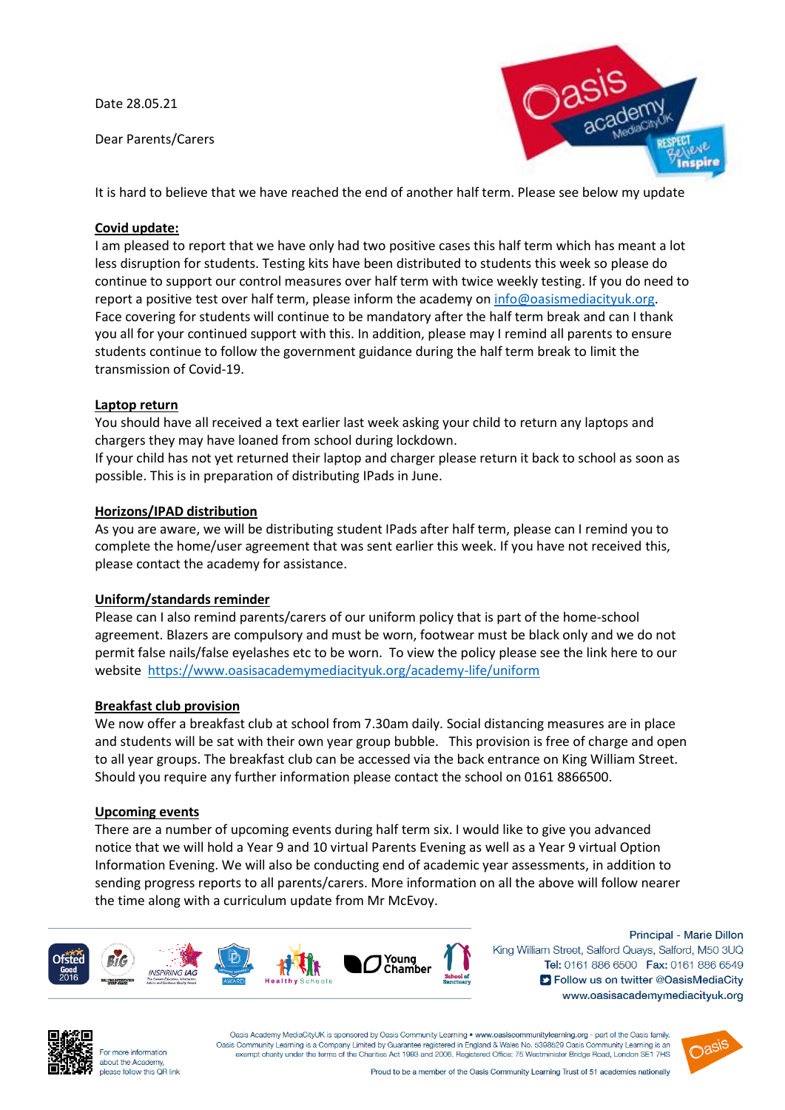Date 28.05.21

Dear Parents/Carers



It is hard to believe that we have reached the end of another half term. Please see below my update

# **Covid update:**

I am pleased to report that we have only had two positive cases this half term which has meant a lot less disruption for students. Testing kits have been distributed to students this week so please do continue to support our control measures over half term with twice weekly testing. If you do need to report a positive test over half term, please inform the academy on [info@oasismediacityuk.org.](mailto:info@oasismediacityuk.org) Face covering for students will continue to be mandatory after the half term break and can I thank you all for your continued support with this. In addition, please may I remind all parents to ensure students continue to follow the government guidance during the half term break to limit the transmission of Covid-19.

## **Laptop return**

You should have all received a text earlier last week asking your child to return any laptops and chargers they may have loaned from school during lockdown.

If your child has not yet returned their laptop and charger please return it back to school as soon as possible. This is in preparation of distributing IPads in June.

## **Horizons/IPAD distribution**

As you are aware, we will be distributing student IPads after half term, please can I remind you to complete the home/user agreement that was sent earlier this week. If you have not received this, please contact the academy for assistance.

## **Uniform/standards reminder**

Please can I also remind parents/carers of our uniform policy that is part of the home-school agreement. Blazers are compulsory and must be worn, footwear must be black only and we do not permit false nails/false eyelashes etc to be worn. To view the policy please see the link here to our website <https://www.oasisacademymediacityuk.org/academy-life/uniform>

## **Breakfast club provision**

We now offer a breakfast club at school from 7.30am daily. Social distancing measures are in place and students will be sat with their own year group bubble. This provision is free of charge and open to all year groups. The breakfast club can be accessed via the back entrance on King William Street. Should you require any further information please contact the school on 0161 8866500.

### **Upcoming events**

There are a number of upcoming events during half term six. I would like to give you advanced notice that we will hold a Year 9 and 10 virtual Parents Evening as well as a Year 9 virtual Option Information Evening. We will also be conducting end of academic year assessments, in addition to sending progress reports to all parents/carers. More information on all the above will follow nearer the time along with a curriculum update from Mr McEvoy.



Principal - Marie Dillon King William Street, Salford Quays, Salford, M50 3UQ Tel: 0161 886 6500 Fax: 0161 886 6549 S Follow us on twitter @OasisMediaCity www.oasisacademymediacityuk.org



For more information about the Academy, please follow this OR link

Oasis Academy MediaCityUK is sponsored by Oasis Community Learning . www.oasiscommunitylearning.org - part of the Oasis family. Oasis Community Learning is a Company Limited by Guarantee registered in England & Wales No. 5398529 Oasis Community Learning is an exempt charity under the terms of the Charities Act 1993 and 2006. Registered Office: 75 Westminister Bridge Road, London SE1 7HS